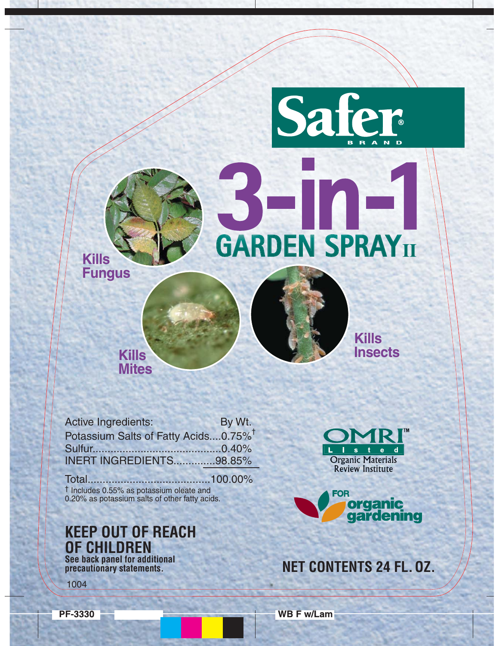# **GARDEN SPRAY**II

Safe

**Kills Fungus** 

Active Ingredients: By Wt. Potassium Salts of Fatty Acids....0.75%<sup>†</sup> **INERT INGREDIENTS..............98.85%** 

**Kills Mites** 

<sup>†</sup> Includes 0.55% as potassium oleate and 0.20% as potassium salts of other fatty acids.

**KEEP OUT OF REACH OF CHILDREN** See back panel for additional precautionary statements.



**Kills** 

**Insects** 



## **NET CONTENTS 24 FL. 0Z.**

1004

**PF-3330** 

**WB F w/Lam**